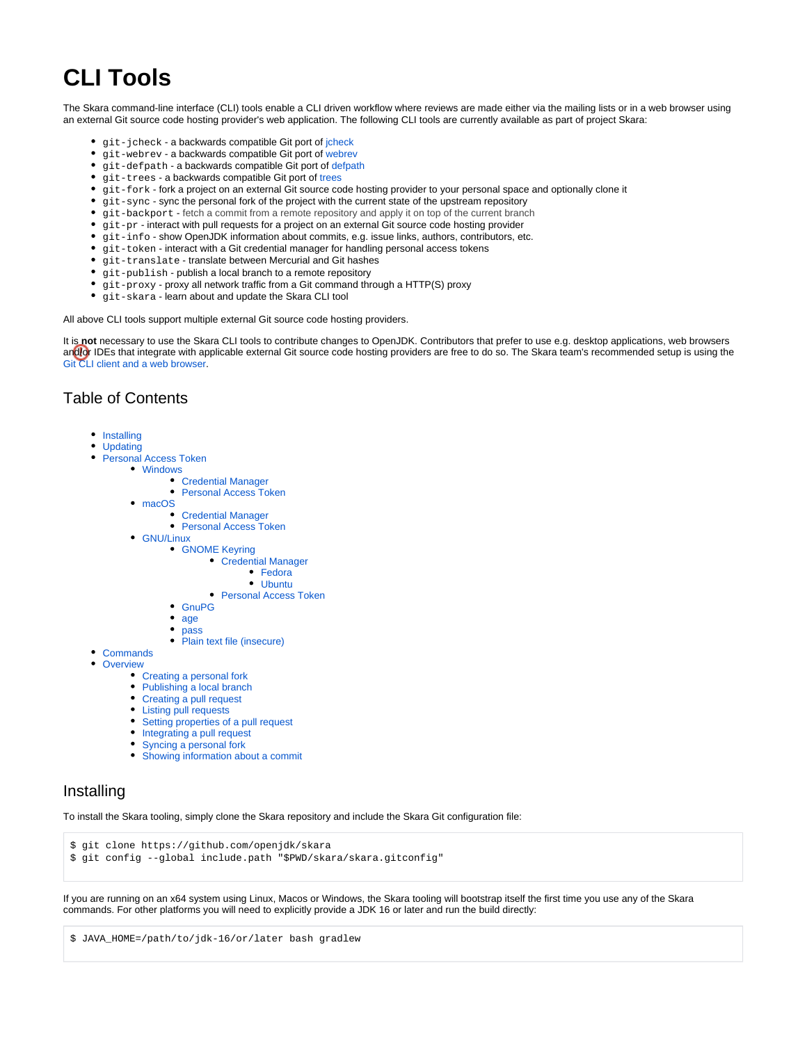# **CLI Tools**

The Skara command-line interface (CLI) tools enable a CLI driven workflow where reviews are made either via the mailing lists or in a web browser using an external Git source code hosting provider's web application. The following CLI tools are currently available as part of project Skara:

- qit-jcheck a backwards compatible Git port of [jcheck](https://openjdk.java.net/projects/code-tools/jcheck/)
- qit-webrev a backwards compatible Git port of [webrev](https://openjdk.java.net/projects/code-tools/webrev/)
- $\bullet$  git-[defpath](https://openjdk.java.net/projects/code-tools/defpath/) a backwards compatible Git port of defpath
- qit-[trees](https://openjdk.java.net/projects/code-tools/trees/) a backwards compatible Git port of trees
- git-fork fork a project on an external Git source code hosting provider to your personal space and optionally clone it
- $git-sync$  sync the personal fork of the project with the current state of the upstream repository
- qit-backport fetch a commit from a remote repository and apply it on top of the current branch
- git-pr interact with pull requests for a project on an external Git source code hosting provider
- git-info show OpenJDK information about commits, e.g. issue links, authors, contributors, etc.
- $\bullet$   $qit$ -token interact with a Git credential manager for handling personal access tokens
- $\bullet$  git-translate translate between Mercurial and Git hashes
- git-publish publish a local branch to a remote repository
- git-proxy proxy all network traffic from a Git command through a HTTP(S) proxy
- qit-skara learn about and update the Skara CLI tool

All above CLI tools support multiple external Git source code hosting providers.

It is **not** necessary to use the Skara CLI tools to contribute changes to OpenJDK. Contributors that prefer to use e.g. desktop applications, web browsers and/or IDEs that integrate with applicable external Git source code hosting providers are free to do so. The Skara team's recommended setup is using the [Git CLI client and a web browser](https://wiki.openjdk.java.net/display/skara#Skara-GitCLIClient+WebBrowser(recommended)).

# Table of Contents

- [Installing](#page-0-0)
- [Updating](#page-1-0)
- [Personal Access Token](#page-1-1)
	- [Windows](#page-1-2)
		- [Credential Manager](#page-1-3)
		- **[Personal Access Token](#page-1-4)**
		- [macOS](#page-2-0)
			- [Credential Manager](#page-2-1)
			- [Personal Access Token](#page-2-2)
		- [GNU/Linux](#page-2-3)
			- [GNOME Keyring](#page-2-4)
				- [Credential Manager](#page-2-5)
					- [Fedora](#page-2-6)
					- [Ubuntu](#page-2-7)
				- [Personal Access Token](#page-3-0)
				- [GnuPG](#page-3-1)
				- $\bullet$ [age](#page-3-2)
				- [pass](#page-3-3)
				- [Plain text file \(insecure\)](#page-4-0)
- **[Commands](#page-4-1)**
- **[Overview](#page-4-2)** 
	- [Creating a personal fork](#page-4-3)
	- [Publishing a local branch](#page-5-0)
	- [Creating a pull request](#page-5-1)
	- [Listing pull requests](#page-5-2)
	- [Setting properties of a pull request](#page-5-3)
	- [Integrating a pull request](#page-5-4)
	- [Syncing a personal fork](#page-5-5)
	- [Showing information about a commit](#page-6-0)

# <span id="page-0-0"></span>Installing

To install the Skara tooling, simply clone the Skara repository and include the Skara Git configuration file:

\$ git clone https://github.com/openjdk/skara

\$ git config --global include.path "\$PWD/skara/skara.gitconfig"

If you are running on an x64 system using Linux, Macos or Windows, the Skara tooling will bootstrap itself the first time you use any of the Skara commands. For other platforms you will need to explicitly provide a JDK 16 or later and run the build directly:

```
$ JAVA_HOME=/path/to/jdk-16/or/later bash gradlew
```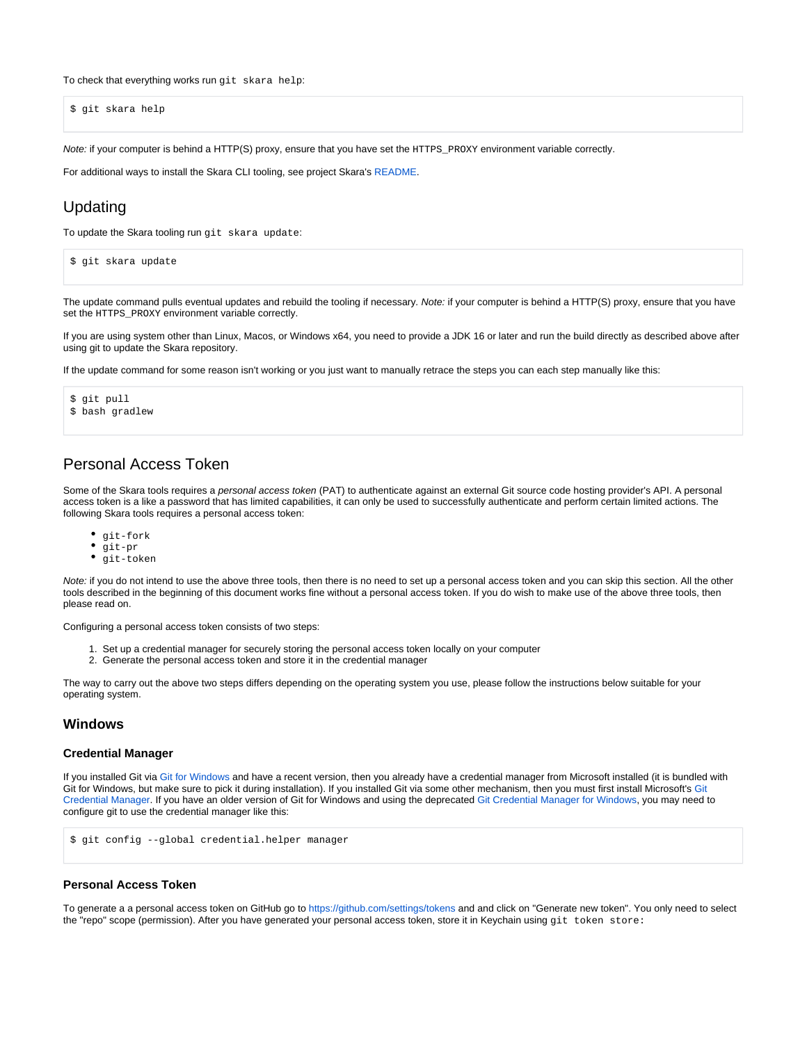To check that everything works run git skara help:

\$ git skara help

Note: if your computer is behind a HTTP(S) proxy, ensure that you have set the HTTPS\_PROXY environment variable correctly.

For additional ways to install the Skara CLI tooling, see project Skara's [README](https://github.com/openjdk/skara/blob/master/README.md#installing).

# <span id="page-1-0"></span>Updating

To update the Skara tooling run git skara update:

```
$ git skara update
```
The update command pulls eventual updates and rebuild the tooling if necessary. Note: if your computer is behind a HTTP(S) proxy, ensure that you have set the HTTPS\_PROXY environment variable correctly.

If you are using system other than Linux, Macos, or Windows x64, you need to provide a JDK 16 or later and run the build directly as described above after using git to update the Skara repository.

If the update command for some reason isn't working or you just want to manually retrace the steps you can each step manually like this:

```
$ git pull
$ bash gradlew
```
# <span id="page-1-1"></span>Personal Access Token

Some of the Skara tools requires a personal access token (PAT) to authenticate against an external Git source code hosting provider's API. A personal access token is a like a password that has limited capabilities, it can only be used to successfully authenticate and perform certain limited actions. The following Skara tools requires a personal access token:

- $\bullet$ git-fork
- git-pr
- git-token

Note: if you do not intend to use the above three tools, then there is no need to set up a personal access token and you can skip this section. All the other tools described in the beginning of this document works fine without a personal access token. If you do wish to make use of the above three tools, then please read on.

Configuring a personal access token consists of two steps:

- 1. Set up a credential manager for securely storing the personal access token locally on your computer
- 2. Generate the personal access token and store it in the credential manager

The way to carry out the above two steps differs depending on the operating system you use, please follow the instructions below suitable for your operating system.

# <span id="page-1-2"></span>**Windows**

#### <span id="page-1-3"></span>**Credential Manager**

If you installed Git via [Git for Windows](https://gitforwindows.org) and have a recent version, then you already have a credential manager from Microsoft installed (it is bundled with Git for Windows, but make sure to pick it during installation). If you installed Git via some other mechanism, then you must first install Microsoft's [Git](https://github.com/GitCredentialManager/git-credential-manager)  [Credential Manager.](https://github.com/GitCredentialManager/git-credential-manager) If you have an older version of Git for Windows and using the deprecated [Git Credential Manager for Windows](https://github.com/Microsoft/Git-Credential-Manager-for-Windows), you may need to configure git to use the credential manager like this:

```
$ git config --global credential.helper manager
```
#### <span id="page-1-4"></span>**Personal Access Token**

To generate a a personal access token on GitHub go to<https://github.com/settings/tokens>and and click on "Generate new token". You only need to select the "repo" scope (permission). After you have generated your personal access token, store it in Keychain using git token store: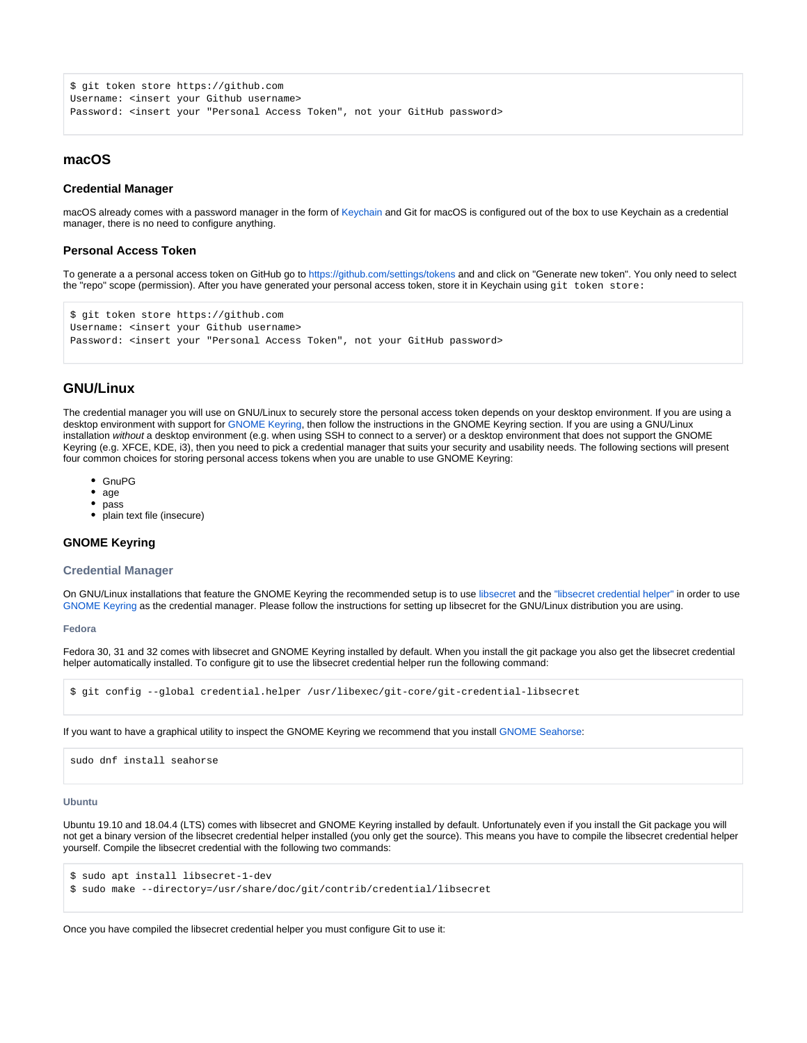```
$ git token store https://github.com
Username: <insert your Github username>
Password: <insert your "Personal Access Token", not your GitHub password>
```
# <span id="page-2-0"></span>**macOS**

#### <span id="page-2-1"></span>**Credential Manager**

macOS already comes with a password manager in the form of [Keychain](https://en.wikipedia.org/wiki/Keychain_(software)) and Git for macOS is configured out of the box to use Keychain as a credential manager, there is no need to configure anything.

#### <span id="page-2-2"></span>**Personal Access Token**

To generate a a personal access token on GitHub go to<https://github.com/settings/tokens>and and click on "Generate new token". You only need to select the "repo" scope (permission). After you have generated your personal access token, store it in Keychain using git token store:

```
$ git token store https://github.com
Username: <insert your Github username>
Password: <insert your "Personal Access Token", not your GitHub password>
```
## <span id="page-2-3"></span>**GNU/Linux**

The credential manager you will use on GNU/Linux to securely store the personal access token depends on your desktop environment. If you are using a desktop environment with support for [GNOME Keyring,](https://en.wikipedia.org/wiki/GNOME_Keyring) then follow the instructions in the GNOME Keyring section. If you are using a GNU/Linux installation without a desktop environment (e.g. when using SSH to connect to a server) or a desktop environment that does not support the GNOME Keyring (e.g. XFCE, KDE, i3), then you need to pick a credential manager that suits your security and usability needs. The following sections will present four common choices for storing personal access tokens when you are unable to use GNOME Keyring:

- GnuPG
- age
- pass
- plain text file (insecure)

#### <span id="page-2-4"></span>**GNOME Keyring**

#### <span id="page-2-5"></span>**Credential Manager**

On GNU/Linux installations that feature the GNOME Keyring the recommended setup is to use [libsecret](https://wiki.gnome.org/Projects/Libsecret) and the ["libsecret credential helper"](https://github.com/git/git/tree/master/contrib/credential/libsecret) in order to use [GNOME Keyring](https://wiki.gnome.org/Projects/GnomeKeyring/) as the credential manager. Please follow the instructions for setting up libsecret for the GNU/Linux distribution you are using.

<span id="page-2-6"></span>**Fedora**

Fedora 30, 31 and 32 comes with libsecret and GNOME Keyring installed by default. When you install the git package you also get the libsecret credential helper automatically installed. To configure git to use the libsecret credential helper run the following command:

\$ git config --global credential.helper /usr/libexec/git-core/git-credential-libsecret

If you want to have a graphical utility to inspect the GNOME Keyring we recommend that you install [GNOME Seahorse:](https://wiki.gnome.org/Apps/Seahorse/)

sudo dnf install seahorse

#### <span id="page-2-7"></span>**Ubuntu**

Ubuntu 19.10 and 18.04.4 (LTS) comes with libsecret and GNOME Keyring installed by default. Unfortunately even if you install the Git package you will not get a binary version of the libsecret credential helper installed (you only get the source). This means you have to compile the libsecret credential helper yourself. Compile the libsecret credential with the following two commands:

```
$ sudo apt install libsecret-1-dev
$ sudo make --directory=/usr/share/doc/git/contrib/credential/libsecret
```
Once you have compiled the libsecret credential helper you must configure Git to use it: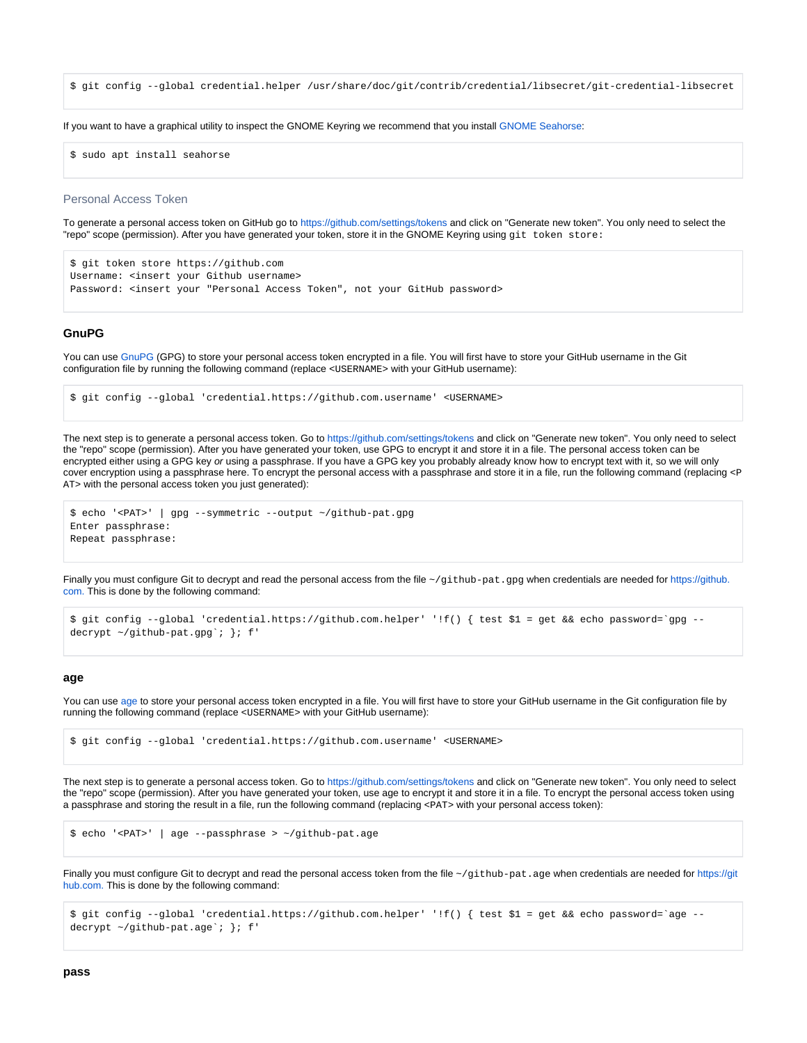\$ git config --global credential.helper /usr/share/doc/git/contrib/credential/libsecret/git-credential-libsecret

If you want to have a graphical utility to inspect the GNOME Keyring we recommend that you install [GNOME Seahorse:](https://wiki.gnome.org/Apps/Seahorse/)

\$ sudo apt install seahorse

#### <span id="page-3-0"></span>Personal Access Token

To generate a personal access token on GitHub go to<https://github.com/settings/tokens> and click on "Generate new token". You only need to select the "repo" scope (permission). After you have generated your token, store it in the GNOME Keyring using git token store:

```
$ git token store https://github.com
Username: <insert your Github username>
Password: <insert your "Personal Access Token", not your GitHub password>
```
#### <span id="page-3-1"></span>**GnuPG**

You can use [GnuPG](https://gnupg.org/) (GPG) to store your personal access token encrypted in a file. You will first have to store your GitHub username in the Git configuration file by running the following command (replace <USERNAME> with your GitHub username):

\$ git config --global 'credential.https://github.com.username' <USERNAME>

The next step is to generate a personal access token. Go to <https://github.com/settings/tokens>and click on "Generate new token". You only need to select the "repo" scope (permission). After you have generated your token, use GPG to encrypt it and store it in a file. The personal access token can be encrypted either using a GPG key or using a passphrase. If you have a GPG key you probably already know how to encrypt text with it, so we will only cover encryption using a passphrase here. To encrypt the personal access with a passphrase and store it in a file, run the following command (replacing <P AT> with the personal access token you just generated):

```
$ echo '<PAT>' | gpg --symmetric --output ~/github-pat.gpg
Enter passphrase:
Repeat passphrase:
```
Finally you must configure Git to decrypt and read the personal access from the file ~/github-pat.gpg when credentials are needed for [https://github.](https://github.com.) [com.](https://github.com.) This is done by the following command:

```
$ git config --global 'credential.https://github.com.helper' '!f() { test $1 = get && echo password=`gpg --
decrypt ~/github-pat.gpg`; }; f'
```
#### <span id="page-3-2"></span>**age**

You can use [age](https://age-encryption.org/) to store your personal access token encrypted in a file. You will first have to store your GitHub username in the Git configuration file by running the following command (replace <USERNAME> with your GitHub username):

\$ git config --global 'credential.https://github.com.username' <USERNAME>

The next step is to generate a personal access token. Go to <https://github.com/settings/tokens>and click on "Generate new token". You only need to select the "repo" scope (permission). After you have generated your token, use age to encrypt it and store it in a file. To encrypt the personal access token using a passphrase and storing the result in a file, run the following command (replacing <PAT> with your personal access token):

```
$ echo '<PAT>' | age --passphrase > ~/github-pat.age
```
Finally you must configure Git to decrypt and read the personal access token from the file ~/github-pat.age when credentials are needed for [https://git](https://github.com.) [hub.com.](https://github.com.) This is done by the following command:

```
$ git config --global 'credential.https://github.com.helper' '!f() { test $1 = get && echo password=`age --
decrypt ~/github-pat.age`; }; f'
```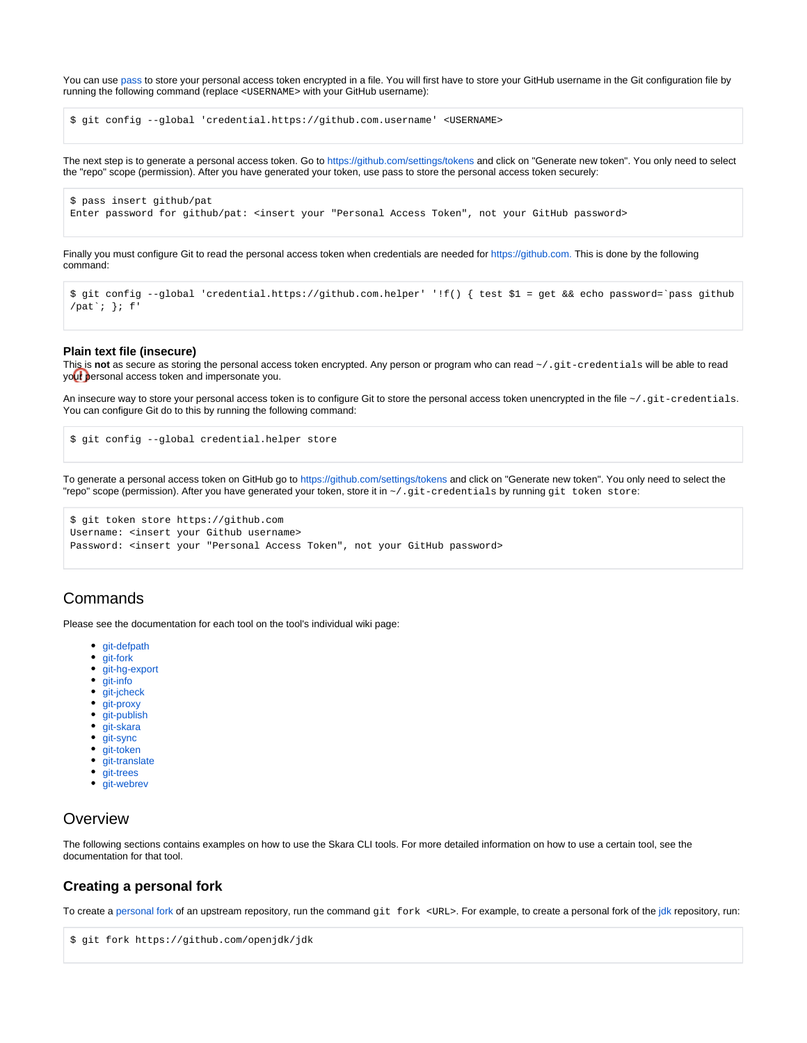You can use [pass](https://www.passwordstore.org/) to store your personal access token encrypted in a file. You will first have to store your GitHub username in the Git configuration file by running the following command (replace <USERNAME> with your GitHub username):

```
$ git config --global 'credential.https://github.com.username' <USERNAME>
```
The next step is to generate a personal access token. Go to <https://github.com/settings/tokens>and click on "Generate new token". You only need to select the "repo" scope (permission). After you have generated your token, use pass to store the personal access token securely:

```
$ pass insert github/pat
Enter password for github/pat: <insert your "Personal Access Token", not your GitHub password>
```
Finally you must configure Git to read the personal access token when credentials are needed for <https://github.com.> This is done by the following command:

```
$ git config --global 'credential.https://github.com.helper' '!f() { test $1 = get && echo password=`pass github
\gammapat`; }; f'
```
#### <span id="page-4-0"></span>**Plain text file (insecure)**

This is not as secure as storing the personal access token encrypted. Any person or program who can read ~/.git-credentials will be able to read your personal access token and impersonate you.

An insecure way to store your personal access token is to configure Git to store the personal access token unencrypted in the file ~/.git-credentials. You can configure Git do to this by running the following command:

```
$ git config --global credential.helper store
```
To generate a personal access token on GitHub go to<https://github.com/settings/tokens> and click on "Generate new token". You only need to select the "repo" scope (permission). After you have generated your token, store it in ~/.git-credentials by running git token store:

```
$ git token store https://github.com
Username: <insert your Github username>
Password: <insert your "Personal Access Token", not your GitHub password>
```
# <span id="page-4-1"></span>**Commands**

Please see the documentation for each tool on the tool's individual wiki page:

- [git-defpath](https://wiki.openjdk.java.net/display/SKARA/git-defpath)
- $\bullet$ [git-fork](https://wiki.openjdk.java.net/display/SKARA/git-fork)
- [git-hg-export](https://wiki.openjdk.java.net/display/SKARA/git-hg-export)
- $\bullet$ [git-info](https://wiki.openjdk.java.net/display/SKARA/git-info)
- [git-jcheck](https://wiki.openjdk.java.net/display/SKARA/git-jcheck)
- [git-proxy](https://wiki.openjdk.java.net/display/SKARA/git-proxy)
- [git-publish](https://wiki.openjdk.java.net/display/SKARA/git-publish)
- [git-skara](https://wiki.openjdk.java.net/display/SKARA/git-skara)
- [git-sync](https://wiki.openjdk.java.net/display/SKARA/git-sync)
- [git-token](https://wiki.openjdk.java.net/display/SKARA/git-token)
- [git-translate](https://wiki.openjdk.java.net/display/SKARA/git-translate)
- $\bullet$ [git-trees](https://wiki.openjdk.java.net/display/SKARA/git-trees)
- $\bullet$ [git-webrev](https://wiki.openjdk.java.net/display/SKARA/git-webrev)

# <span id="page-4-2"></span>**Overview**

The following sections contains examples on how to use the Skara CLI tools. For more detailed information on how to use a certain tool, see the documentation for that tool.

### <span id="page-4-3"></span>**Creating a personal fork**

To create a [personal fork](https://wiki.openjdk.java.net/display/SKARA/FAQ#FAQ-Whatisapersonalfork?) of an upstream repository, run the command git fork <URL>. For example, to create a personal fork of the [jdk](https://github.com/openjdk/jdk) repository, run:

```
$ git fork https://github.com/openjdk/jdk
```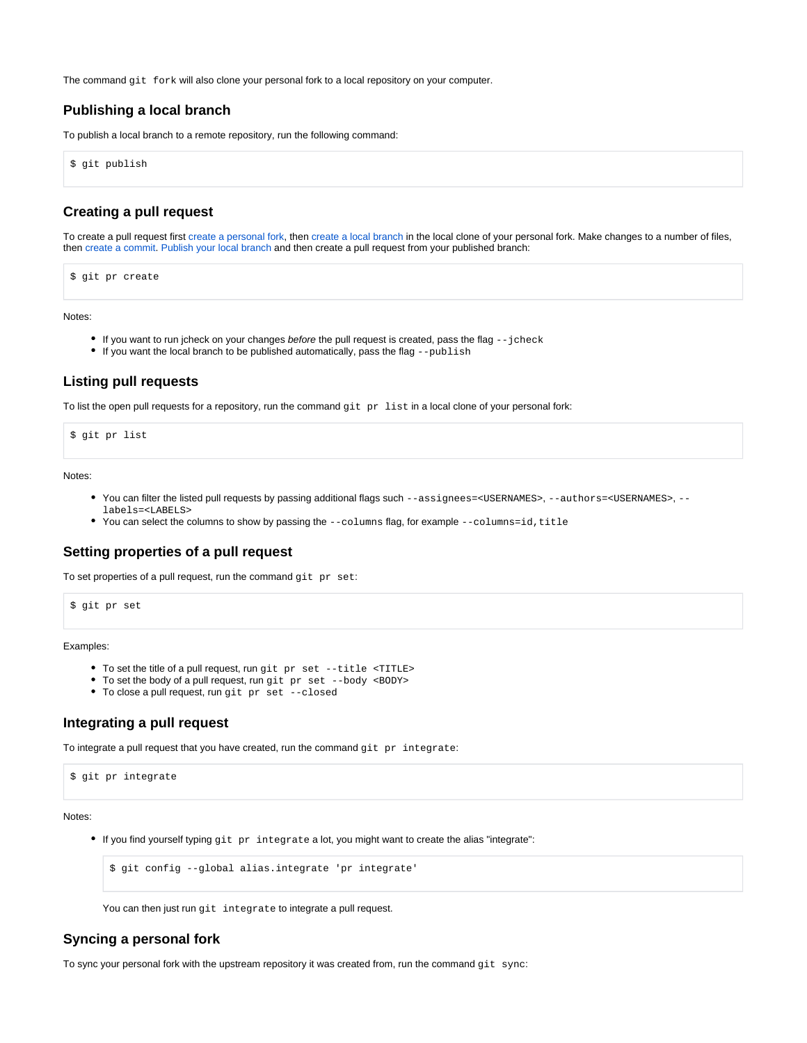The command git fork will also clone your personal fork to a local repository on your computer.

## <span id="page-5-0"></span>**Publishing a local branch**

```
To publish a local branch to a remote repository, run the following command:
```
\$ git publish

## <span id="page-5-1"></span>**Creating a pull request**

To create a pull request first [create a personal fork,](https://wiki.openjdk.java.net/display/SKARA/CLI+Tools#CLITools-Creatingapullrequest) then [create a local branch](https://wiki.openjdk.java.net/display/SKARA/FAQ#FAQ-HowdoIcreatealocalbranch?) in the local clone of your personal fork. Make changes to a number of files, then [create a commit](https://wiki.openjdk.java.net/display/SKARA/FAQ#FAQ-HowdoImakeacommit?). [Publish your local branch](https://wiki.openjdk.java.net/display/SKARA/FAQ#FAQ-HowdoIpushalocalbranchtoaremoterepository?) and then create a pull request from your published branch:

\$ git pr create

Notes:

- If you want to run jcheck on your changes before the pull request is created, pass the flag --jcheck
- $\bullet$  If you want the local branch to be published automatically, pass the flag --publish

# <span id="page-5-2"></span>**Listing pull requests**

To list the open pull requests for a repository, run the command git pr list in a local clone of your personal fork:

\$ git pr list

Notes:

- You can filter the listed pull requests by passing additional flags such --assignees=<USERNAMES>, --authors=<USERNAMES>, labels=<LABELS>
- \* You can select the columns to show by passing the --columns flag, for example --columns=id, title

## <span id="page-5-3"></span>**Setting properties of a pull request**

To set properties of a pull request, run the command git pr set:

\$ git pr set

#### Examples:

- To set the title of a pull request, run git pr set --title <TITLE>
- To set the body of a pull request, run git pr set --body <BODY>
- To close a pull request, run git pr set --closed

# <span id="page-5-4"></span>**Integrating a pull request**

To integrate a pull request that you have created, run the command git pr integrate:

\$ git pr integrate

Notes:

If you find yourself typing git pr integrate a lot, you might want to create the alias "integrate":

```
$ git config --global alias.integrate 'pr integrate'
```
You can then just run git integrate to integrate a pull request.

## <span id="page-5-5"></span>**Syncing a personal fork**

To sync your personal fork with the upstream repository it was created from, run the command git sync: